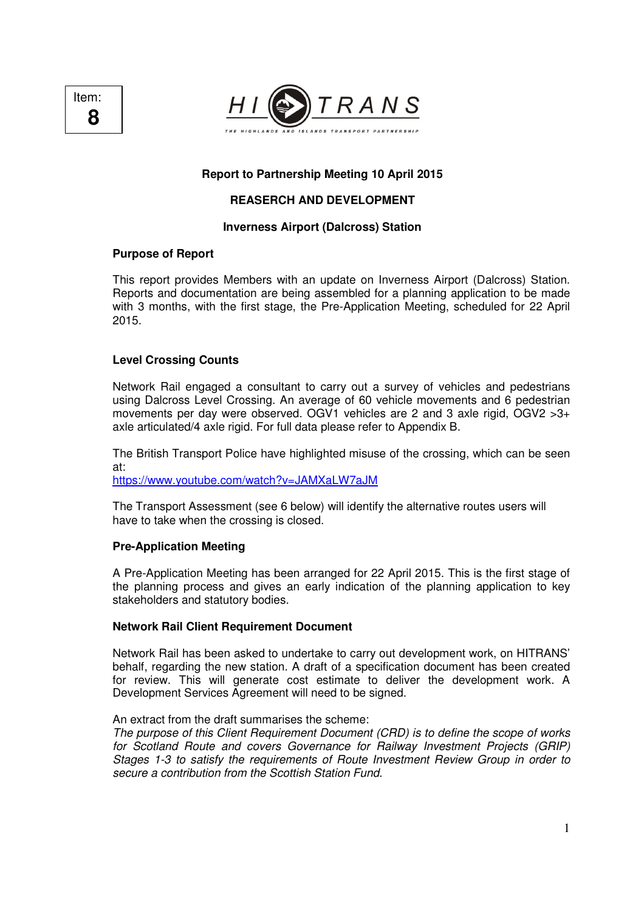



# **Report to Partnership Meeting 10 April 2015**

# **REASERCH AND DEVELOPMENT**

## **Inverness Airport (Dalcross) Station**

## **Purpose of Report**

This report provides Members with an update on Inverness Airport (Dalcross) Station. Reports and documentation are being assembled for a planning application to be made with 3 months, with the first stage, the Pre-Application Meeting, scheduled for 22 April 2015.

## **Level Crossing Counts**

Network Rail engaged a consultant to carry out a survey of vehicles and pedestrians using Dalcross Level Crossing. An average of 60 vehicle movements and 6 pedestrian movements per day were observed. OGV1 vehicles are 2 and 3 axle rigid, OGV2 >3+ axle articulated/4 axle rigid. For full data please refer to Appendix B.

The British Transport Police have highlighted misuse of the crossing, which can be seen at:

https://www.youtube.com/watch?v=JAMXaLW7aJM

The Transport Assessment (see 6 below) will identify the alternative routes users will have to take when the crossing is closed.

### **Pre-Application Meeting**

A Pre-Application Meeting has been arranged for 22 April 2015. This is the first stage of the planning process and gives an early indication of the planning application to key stakeholders and statutory bodies.

### **Network Rail Client Requirement Document**

Network Rail has been asked to undertake to carry out development work, on HITRANS' behalf, regarding the new station. A draft of a specification document has been created for review. This will generate cost estimate to deliver the development work. A Development Services Agreement will need to be signed.

### An extract from the draft summarises the scheme:

The purpose of this Client Requirement Document (CRD) is to define the scope of works for Scotland Route and covers Governance for Railway Investment Projects (GRIP) Stages 1-3 to satisfy the requirements of Route Investment Review Group in order to secure a contribution from the Scottish Station Fund.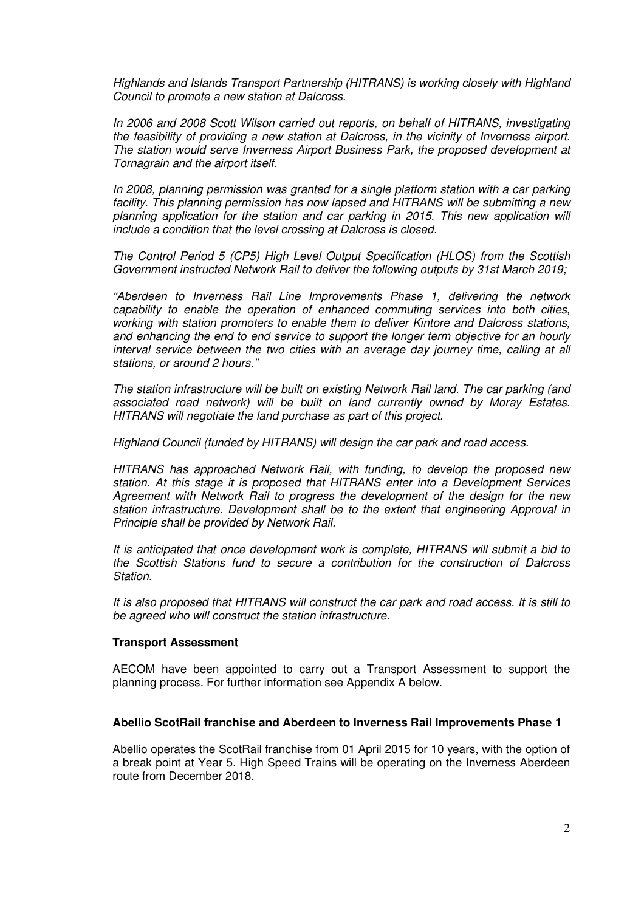Highlands and Islands Transport Partnership (HITRANS) is working closely with Highland Council to promote a new station at Dalcross.

In 2006 and 2008 Scott Wilson carried out reports, on behalf of HITRANS, investigating the feasibility of providing a new station at Dalcross, in the vicinity of Inverness airport. The station would serve Inverness Airport Business Park, the proposed development at Tornagrain and the airport itself.

In 2008, planning permission was granted for a single platform station with a car parking facility. This planning permission has now lapsed and HITRANS will be submitting a new planning application for the station and car parking in 2015. This new application will include a condition that the level crossing at Dalcross is closed.

The Control Period 5 (CP5) High Level Output Specification (HLOS) from the Scottish Government instructed Network Rail to deliver the following outputs by 31st March 2019;

"Aberdeen to Inverness Rail Line Improvements Phase 1, delivering the network capability to enable the operation of enhanced commuting services into both cities, working with station promoters to enable them to deliver Kintore and Dalcross stations, and enhancing the end to end service to support the longer term objective for an hourly interval service between the two cities with an average day journey time, calling at all stations, or around 2 hours."

The station infrastructure will be built on existing Network Rail land. The car parking (and associated road network) will be built on land currently owned by Moray Estates. HITRANS will negotiate the land purchase as part of this project.

Highland Council (funded by HITRANS) will design the car park and road access.

HITRANS has approached Network Rail, with funding, to develop the proposed new station. At this stage it is proposed that HITRANS enter into a Development Services Agreement with Network Rail to progress the development of the design for the new station infrastructure. Development shall be to the extent that engineering Approval in Principle shall be provided by Network Rail.

It is anticipated that once development work is complete, HITRANS will submit a bid to the Scottish Stations fund to secure a contribution for the construction of Dalcross Station.

It is also proposed that HITRANS will construct the car park and road access. It is still to be agreed who will construct the station infrastructure.

## **Transport Assessment**

AECOM have been appointed to carry out a Transport Assessment to support the planning process. For further information see Appendix A below.

### **Abellio ScotRail franchise and Aberdeen to Inverness Rail Improvements Phase 1**

Abellio operates the ScotRail franchise from 01 April 2015 for 10 years, with the option of a break point at Year 5. High Speed Trains will be operating on the Inverness Aberdeen route from December 2018.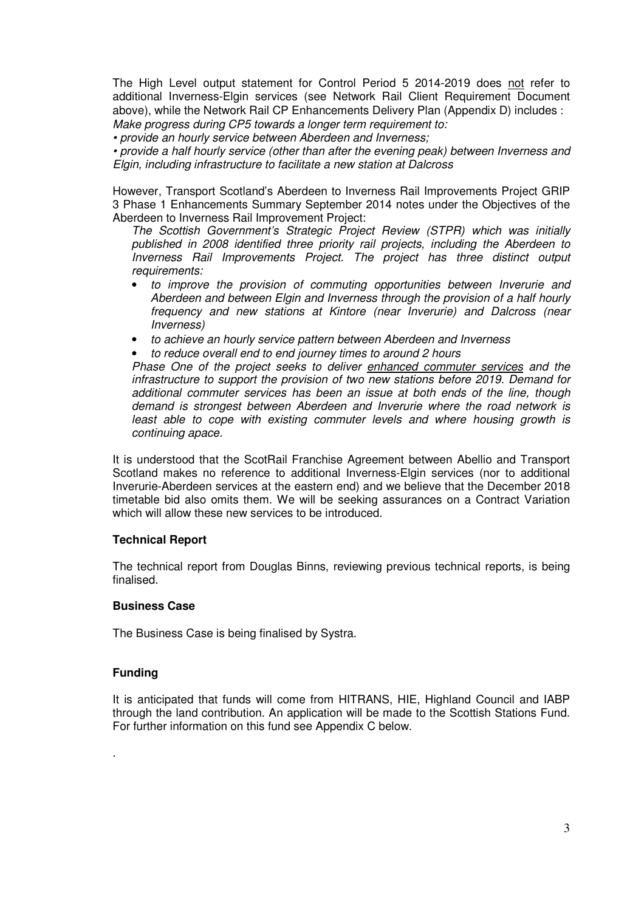The High Level output statement for Control Period 5 2014-2019 does not refer to additional Inverness-Elgin services (see Network Rail Client Requirement Document above), while the Network Rail CP Enhancements Delivery Plan (Appendix D) includes : Make progress during CP5 towards a longer term requirement to:

• provide an hourly service between Aberdeen and Inverness;

• provide a half hourly service (other than after the evening peak) between Inverness and Elgin, including infrastructure to facilitate a new station at Dalcross

However, Transport Scotland's Aberdeen to Inverness Rail Improvements Project GRIP 3 Phase 1 Enhancements Summary September 2014 notes under the Objectives of the Aberdeen to Inverness Rail Improvement Project:

The Scottish Government's Strategic Project Review (STPR) which was initially published in 2008 identified three priority rail projects, including the Aberdeen to Inverness Rail Improvements Project. The project has three distinct output requirements:

- to improve the provision of commuting opportunities between Inverurie and Aberdeen and between Elgin and Inverness through the provision of a half hourly frequency and new stations at Kintore (near Inverurie) and Dalcross (near Inverness)
- to achieve an hourly service pattern between Aberdeen and Inverness
- to reduce overall end to end journey times to around 2 hours

Phase One of the project seeks to deliver enhanced commuter services and the infrastructure to support the provision of two new stations before 2019. Demand for additional commuter services has been an issue at both ends of the line, though demand is strongest between Aberdeen and Inverurie where the road network is least able to cope with existing commuter levels and where housing growth is continuing apace.

It is understood that the ScotRail Franchise Agreement between Abellio and Transport Scotland makes no reference to additional Inverness-Elgin services (nor to additional Inverurie-Aberdeen services at the eastern end) and we believe that the December 2018 timetable bid also omits them. We will be seeking assurances on a Contract Variation which will allow these new services to be introduced.

## **Technical Report**

The technical report from Douglas Binns, reviewing previous technical reports, is being finalised.

## **Business Case**

The Business Case is being finalised by Systra.

## **Funding**

.

It is anticipated that funds will come from HITRANS, HIE, Highland Council and IABP through the land contribution. An application will be made to the Scottish Stations Fund. For further information on this fund see Appendix C below.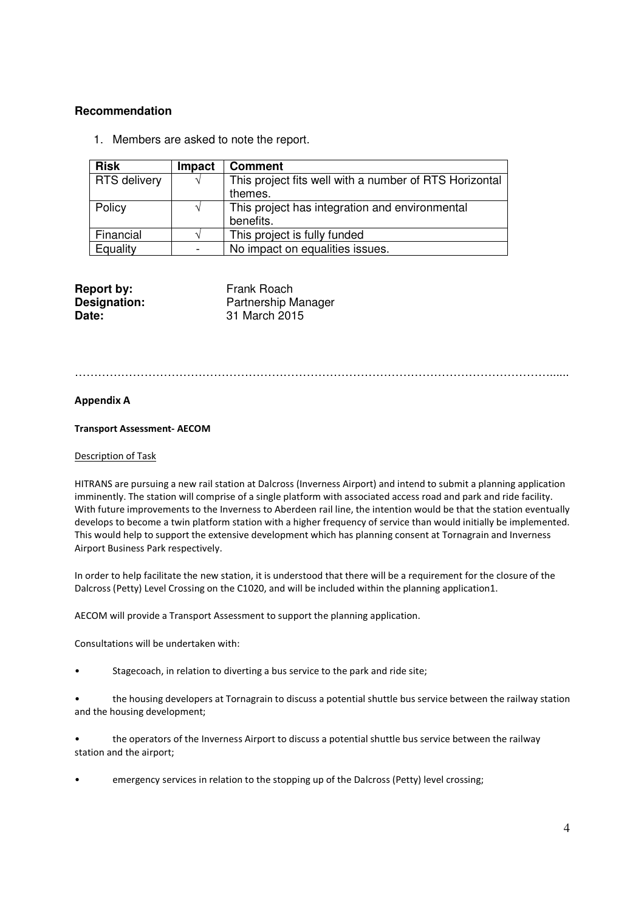## **Recommendation**

1. Members are asked to note the report.

| <b>Risk</b>  | Impact        | <b>Comment</b>                                         |
|--------------|---------------|--------------------------------------------------------|
| RTS delivery | $\mathcal{N}$ | This project fits well with a number of RTS Horizontal |
|              |               | themes.                                                |
| Policy       |               | This project has integration and environmental         |
|              |               | benefits.                                              |
| Financial    |               | This project is fully funded                           |
| Equality     |               | No impact on equalities issues.                        |

| Frank Roach                |
|----------------------------|
| <b>Partnership Manager</b> |
| 31 March 2015              |
|                            |

……………………………………………………………………………………………………………......

## Appendix A

### Transport Assessment- AECOM

### Description of Task

HITRANS are pursuing a new rail station at Dalcross (Inverness Airport) and intend to submit a planning application imminently. The station will comprise of a single platform with associated access road and park and ride facility. With future improvements to the Inverness to Aberdeen rail line, the intention would be that the station eventually develops to become a twin platform station with a higher frequency of service than would initially be implemented. This would help to support the extensive development which has planning consent at Tornagrain and Inverness Airport Business Park respectively.

In order to help facilitate the new station, it is understood that there will be a requirement for the closure of the Dalcross (Petty) Level Crossing on the C1020, and will be included within the planning application1.

AECOM will provide a Transport Assessment to support the planning application.

Consultations will be undertaken with:

- Stagecoach, in relation to diverting a bus service to the park and ride site;
- the housing developers at Tornagrain to discuss a potential shuttle bus service between the railway station and the housing development;
- the operators of the Inverness Airport to discuss a potential shuttle bus service between the railway station and the airport;
- emergency services in relation to the stopping up of the Dalcross (Petty) level crossing;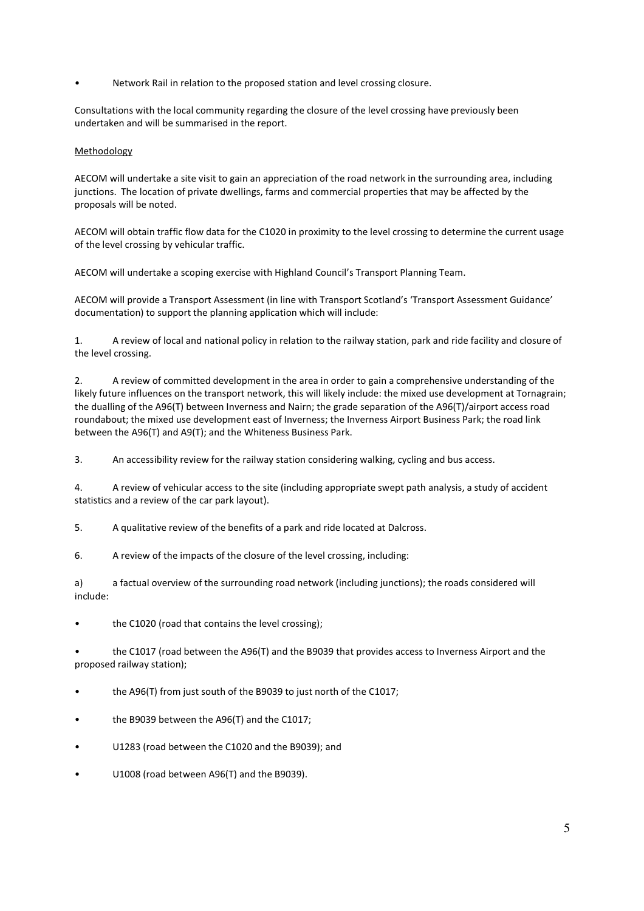• Network Rail in relation to the proposed station and level crossing closure.

Consultations with the local community regarding the closure of the level crossing have previously been undertaken and will be summarised in the report.

### Methodology

AECOM will undertake a site visit to gain an appreciation of the road network in the surrounding area, including junctions. The location of private dwellings, farms and commercial properties that may be affected by the proposals will be noted.

AECOM will obtain traffic flow data for the C1020 in proximity to the level crossing to determine the current usage of the level crossing by vehicular traffic.

AECOM will undertake a scoping exercise with Highland Council's Transport Planning Team.

AECOM will provide a Transport Assessment (in line with Transport Scotland's 'Transport Assessment Guidance' documentation) to support the planning application which will include:

1. A review of local and national policy in relation to the railway station, park and ride facility and closure of the level crossing.

2. A review of committed development in the area in order to gain a comprehensive understanding of the likely future influences on the transport network, this will likely include: the mixed use development at Tornagrain; the dualling of the A96(T) between Inverness and Nairn; the grade separation of the A96(T)/airport access road roundabout; the mixed use development east of Inverness; the Inverness Airport Business Park; the road link between the A96(T) and A9(T); and the Whiteness Business Park.

3. An accessibility review for the railway station considering walking, cycling and bus access.

4. A review of vehicular access to the site (including appropriate swept path analysis, a study of accident statistics and a review of the car park layout).

5. A qualitative review of the benefits of a park and ride located at Dalcross.

6. A review of the impacts of the closure of the level crossing, including:

a) a factual overview of the surrounding road network (including junctions); the roads considered will include:

the C1020 (road that contains the level crossing);

the C1017 (road between the A96(T) and the B9039 that provides access to Inverness Airport and the proposed railway station);

the A96(T) from just south of the B9039 to just north of the C1017;

- the B9039 between the A96(T) and the C1017;
- U1283 (road between the C1020 and the B9039); and
- U1008 (road between A96(T) and the B9039).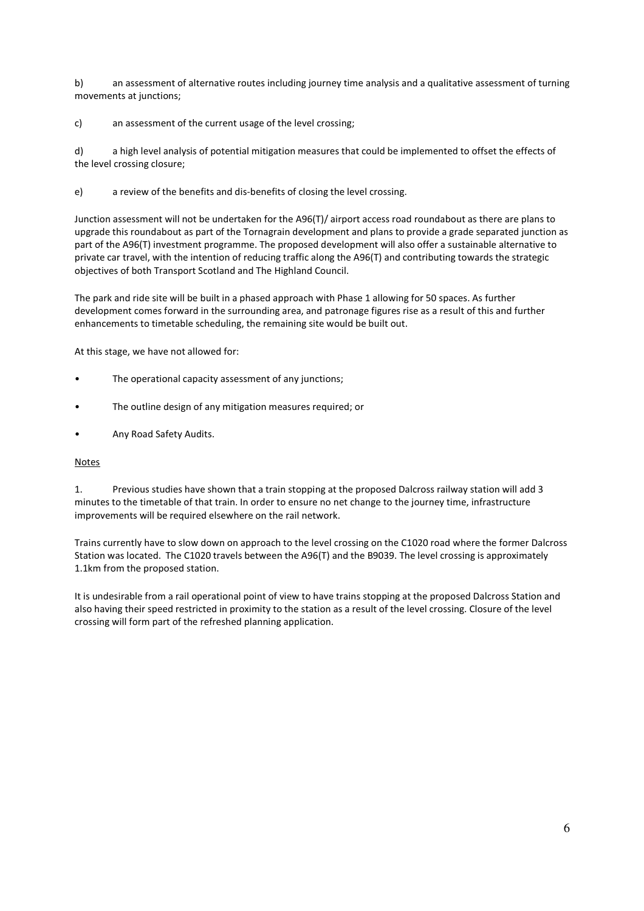b) an assessment of alternative routes including journey time analysis and a qualitative assessment of turning movements at junctions;

c) an assessment of the current usage of the level crossing;

d) a high level analysis of potential mitigation measures that could be implemented to offset the effects of the level crossing closure;

e) a review of the benefits and dis-benefits of closing the level crossing.

Junction assessment will not be undertaken for the A96(T)/ airport access road roundabout as there are plans to upgrade this roundabout as part of the Tornagrain development and plans to provide a grade separated junction as part of the A96(T) investment programme. The proposed development will also offer a sustainable alternative to private car travel, with the intention of reducing traffic along the A96(T) and contributing towards the strategic objectives of both Transport Scotland and The Highland Council.

The park and ride site will be built in a phased approach with Phase 1 allowing for 50 spaces. As further development comes forward in the surrounding area, and patronage figures rise as a result of this and further enhancements to timetable scheduling, the remaining site would be built out.

At this stage, we have not allowed for:

- The operational capacity assessment of any junctions;
- The outline design of any mitigation measures required; or
- Any Road Safety Audits.

#### Notes

1. Previous studies have shown that a train stopping at the proposed Dalcross railway station will add 3 minutes to the timetable of that train. In order to ensure no net change to the journey time, infrastructure improvements will be required elsewhere on the rail network.

Trains currently have to slow down on approach to the level crossing on the C1020 road where the former Dalcross Station was located. The C1020 travels between the A96(T) and the B9039. The level crossing is approximately 1.1km from the proposed station.

It is undesirable from a rail operational point of view to have trains stopping at the proposed Dalcross Station and also having their speed restricted in proximity to the station as a result of the level crossing. Closure of the level crossing will form part of the refreshed planning application.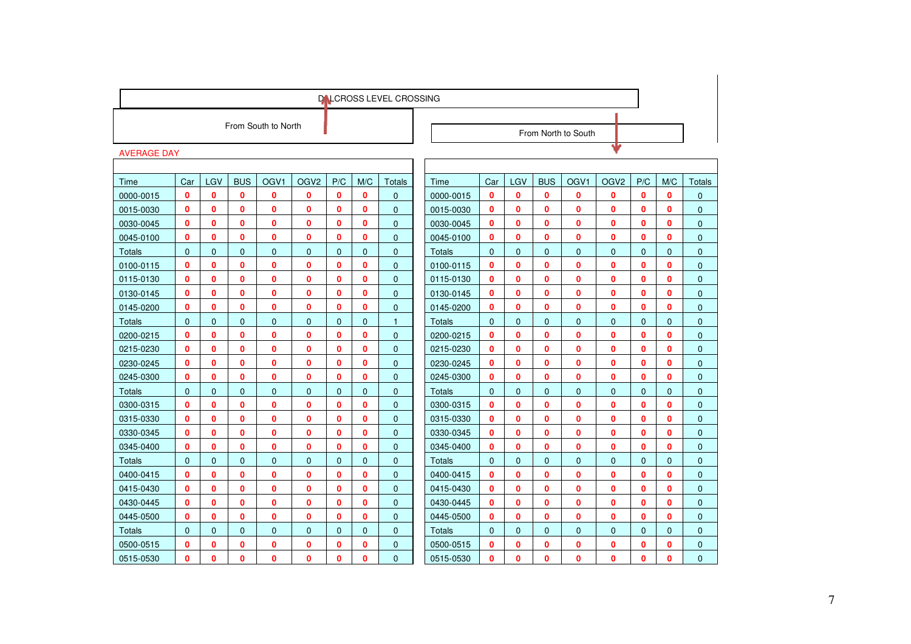|                    |              |              |              |                     |                  |              |                | <b>DALCROSS LEVEL CROSSING</b> |               |              |                |                |                     |                  |              |              |               |
|--------------------|--------------|--------------|--------------|---------------------|------------------|--------------|----------------|--------------------------------|---------------|--------------|----------------|----------------|---------------------|------------------|--------------|--------------|---------------|
|                    |              |              |              | From South to North |                  |              |                |                                |               |              |                |                |                     |                  |              |              |               |
|                    |              |              |              |                     |                  |              |                |                                |               |              |                |                | From North to South |                  |              |              |               |
| <b>AVERAGE DAY</b> |              |              |              |                     |                  |              |                |                                |               |              |                |                |                     | Ψ                |              |              |               |
|                    |              |              |              |                     |                  |              |                |                                |               |              |                |                |                     |                  |              |              |               |
| Time               | Car          | LGV          | <b>BUS</b>   | OGV <sub>1</sub>    | OGV <sub>2</sub> | P/C          | M/C            | Totals                         | Time          | Car          | LGV            | <b>BUS</b>     | OGV <sub>1</sub>    | OGV <sub>2</sub> | P/C          | M/C          | <b>Totals</b> |
| 0000-0015          | 0            | 0            | 0            | 0                   | 0                | 0            | $\mathbf 0$    | $\mathbf{0}$                   | 0000-0015     | $\mathbf 0$  | $\mathbf 0$    | 0              | $\mathbf{0}$        | $\mathbf 0$      | 0            | 0            | $\mathbf{0}$  |
| 0015-0030          | 0            | 0            | 0            | 0                   | $\bf{0}$         | 0            | 0              | $\mathbf{0}$                   | 0015-0030     | $\mathbf 0$  | $\mathbf 0$    | 0              | 0                   | $\bf{0}$         | 0            | 0            | $\mathbf 0$   |
| 0030-0045          | $\bf{0}$     | 0            | 0            | 0                   | 0                | 0            | 0              | $\mathbf{0}$                   | 0030-0045     | $\mathbf{0}$ | 0              | 0              | $\mathbf{0}$        | $\mathbf{0}$     | 0            | $\mathbf{0}$ | $\mathbf{0}$  |
| 0045-0100          | 0            | 0            | 0            | $\bf{0}$            | $\bf{0}$         | $\bf{0}$     | 0              | $\mathbf{0}$                   | 0045-0100     | $\mathbf 0$  | 0              | 0              | $\mathbf{0}$        | $\mathbf{0}$     | $\bf{0}$     | $\bf{0}$     | $\mathbf{0}$  |
| <b>Totals</b>      | $\Omega$     | $\mathbf{0}$ | $\mathbf{0}$ | $\mathbf{0}$        | $\mathbf 0$      | $\mathbf{0}$ | $\mathbf 0$    | $\mathbf{0}$                   | <b>Totals</b> | $\mathbf{0}$ | $\overline{0}$ | 0              | $\mathbf{0}$        | $\mathbf{0}$     | $\mathbf{0}$ | $\mathbf{0}$ | $\mathbf{0}$  |
| 0100-0115          | 0            | 0            | 0            | 0                   | $\bf{0}$         | 0            | 0              | $\mathbf{0}$                   | 0100-0115     | $\mathbf 0$  | 0              | 0              | $\mathbf{0}$        | $\mathbf 0$      | 0            | 0            | $\mathbf{0}$  |
| 0115-0130          | 0            | 0            | 0            | 0                   | $\bf{0}$         | 0            | 0              | $\mathbf 0$                    | 0115-0130     | $\mathbf 0$  | 0              | 0              | $\mathbf{0}$        | $\mathbf 0$      | $\mathbf{0}$ | 0            | $\mathbf{0}$  |
| 0130-0145          | $\bf{0}$     | $\mathbf{0}$ | $\mathbf{0}$ | 0                   | $\mathbf{0}$     | $\bf{0}$     | 0              | $\mathbf{0}$                   | 0130-0145     | $\mathbf{0}$ | 0              | 0              | $\mathbf{0}$        | $\mathbf 0$      | $\mathbf{0}$ | $\mathbf{0}$ | $\mathbf{0}$  |
| 0145-0200          | $\bf{0}$     | 0            | 0            | $\bf{0}$            | 0                | $\bf{0}$     | 0              | $\mathbf 0$                    | 0145-0200     | $\mathbf 0$  | 0              | 0              | $\mathbf{0}$        | $\mathbf{0}$     | $\mathbf{0}$ | 0            | $\mathbf{0}$  |
| Totals             | $\mathbf{0}$ | $\mathbf{0}$ | $\mathbf{0}$ | $\mathbf 0$         | $\mathbf 0$      | $\mathbf{0}$ | $\overline{0}$ | $\mathbf{1}$                   | <b>Totals</b> | $\Omega$     | $\overline{0}$ | 0              | $\mathbf{0}$        | $\mathbf{0}$     | $\mathbf{0}$ | $\mathbf{0}$ | $\mathbf{0}$  |
| 0200-0215          | $\bf{0}$     | 0            | $\mathbf{0}$ | 0                   | 0                | $\bf{0}$     | 0              | $\mathbf{0}$                   | 0200-0215     | $\mathbf 0$  | 0              | 0              | $\mathbf{0}$        | $\mathbf{0}$     | $\mathbf{0}$ | $\bf{0}$     | $\mathbf{0}$  |
| 0215-0230          | $\bf{0}$     | $\mathbf{0}$ | $\mathbf{0}$ | $\mathbf{0}$        | 0                | $\mathbf{0}$ | 0              | $\mathbf{0}$                   | 0215-0230     | $\mathbf{0}$ | 0              | 0              | $\mathbf{0}$        | $\mathbf{0}$     | $\mathbf{0}$ | $\mathbf{0}$ | $\mathbf{0}$  |
| 0230-0245          | $\bf{0}$     | 0            | $\bf{0}$     | 0                   | $\bf{0}$         | $\bf{0}$     | 0              | $\Omega$                       | 0230-0245     | $\mathbf{0}$ | 0              | 0              | $\mathbf{0}$        | $\mathbf 0$      | $\mathbf{0}$ | $\mathbf{0}$ | $\Omega$      |
| 0245-0300          | $\bf{0}$     | $\mathbf{0}$ | $\mathbf{0}$ | 0                   | $\bf{0}$         | $\bf{0}$     | 0              | $\mathbf{0}$                   | 0245-0300     | $\mathbf{0}$ | 0              | 0              | $\mathbf{0}$        | $\mathbf{0}$     | $\mathbf{0}$ | $\mathbf{0}$ | $\mathbf{0}$  |
| Totals             | $\mathbf{0}$ | $\mathbf{0}$ | $\mathbf{0}$ | $\mathbf{0}$        | $\mathbf 0$      | $\mathbf{0}$ | $\overline{0}$ | $\mathbf{0}$                   | <b>Totals</b> | $\mathbf{0}$ | $\overline{0}$ | $\mathbf{0}$   | $\mathbf 0$         | $\mathbf{0}$     | $\mathbf{0}$ | $\mathbf{0}$ | $\mathbf{0}$  |
| 0300-0315          | 0            | 0            | 0            | 0                   | 0                | $\bf{0}$     | 0              | $\mathbf{0}$                   | 0300-0315     | $\mathbf{0}$ | $\mathbf{0}$   | 0              | $\mathbf{0}$        | $\mathbf{0}$     | $\bf{0}$     | $\mathbf{0}$ | $\mathbf{0}$  |
| 0315-0330          | 0            | 0            | 0            | 0                   | 0                | 0            | 0              | $\mathbf{0}$                   | 0315-0330     | $\mathbf{0}$ | 0              | 0              | $\mathbf{0}$        | $\mathbf{0}$     | $\mathbf{0}$ | $\mathbf{0}$ | $\mathbf{0}$  |
| 0330-0345          | $\bf{0}$     | $\mathbf{0}$ | $\mathbf{0}$ | $\mathbf{0}$        | 0                | $\bf{0}$     | 0              | $\Omega$                       | 0330-0345     | $\mathbf{0}$ | 0              | 0              | $\mathbf{0}$        | $\mathbf{0}$     | $\mathbf{0}$ | $\mathbf{0}$ | $\Omega$      |
| 0345-0400          | $\bf{0}$     | $\mathbf{0}$ | $\mathbf{0}$ | $\bf{0}$            | $\mathbf{0}$     | $\bf{0}$     | $\mathbf{0}$   | $\mathbf{0}$                   | 0345-0400     | $\mathbf{0}$ | $\mathbf{0}$   | 0              | $\mathbf{0}$        | $\mathbf{0}$     | $\mathbf{0}$ | $\Omega$     | $\mathbf{0}$  |
| Totals             | $\Omega$     | $\Omega$     | $\mathbf{0}$ | $\mathbf{0}$        | $\mathbf{0}$     | $\Omega$     | $\Omega$       | $\mathbf{0}$                   | <b>Totals</b> | $\Omega$     | $\Omega$       | 0              | $\Omega$            | $\mathbf{0}$     | $\Omega$     | $\Omega$     | $\Omega$      |
| 0400-0415          | $\bf{0}$     | 0            | $\mathbf{0}$ | $\bf{0}$            | 0                | $\mathbf 0$  | 0              | $\mathbf{0}$                   | 0400-0415     | $\mathbf 0$  | $\mathbf{0}$   | O              | $\mathbf{0}$        | $\mathbf{0}$     | $\mathbf{0}$ | $\bf{0}$     | $\Omega$      |
| 0415-0430          | $\bf{0}$     | 0            | 0            | 0                   | $\mathbf{0}$     | $\mathbf{0}$ | 0              | $\mathbf{0}$                   | 0415-0430     | $\mathbf{0}$ | 0              | 0              | $\mathbf{0}$        | $\mathbf{0}$     | $\mathbf{0}$ | $\mathbf{0}$ | $\mathbf{0}$  |
| 0430-0445          | $\mathbf{0}$ | 0            | 0            | 0                   | $\mathbf{0}$     | $\mathbf{0}$ | 0              | $\Omega$                       | 0430-0445     | $\mathbf{0}$ | 0              | 0              | $\mathbf{0}$        | $\mathbf{0}$     | $\mathbf{0}$ | $\mathbf{0}$ | $\mathbf{0}$  |
| 0445-0500          | $\mathbf{0}$ | $\mathbf{0}$ | $\mathbf{0}$ | $\bf{0}$            | $\mathbf{0}$     | $\mathbf{0}$ | 0              | $\overline{0}$                 | 0445-0500     | $\mathbf{0}$ | $\mathbf{0}$   | 0              | $\mathbf{0}$        | $\mathbf{0}$     | $\Omega$     | $\Omega$     | $\Omega$      |
| Totals             | $\Omega$     | $\Omega$     | $\Omega$     | $\Omega$            | $\Omega$         | $\Omega$     | $\Omega$       | $\Omega$                       | <b>Totals</b> | $\Omega$     | $\Omega$       | $\overline{0}$ | $\Omega$            | $\Omega$         | $\Omega$     | $\Omega$     | $\Omega$      |
| 0500-0515          | 0            | $\mathbf{0}$ | 0            | $\bf{0}$            | $\bf{0}$         | $\bf{0}$     | 0              | $\mathbf{0}$                   | 0500-0515     | $\mathbf{0}$ | 0              | 0              | $\mathbf{0}$        | $\mathbf{0}$     | $\mathbf{0}$ | $\mathbf{0}$ | $\mathbf{0}$  |
| 0515-0530          | $\bf{0}$     | $\Omega$     | $\Omega$     | $\mathbf{0}$        | $\mathbf{0}$     | $\mathbf{0}$ | $\mathbf{0}$   | $\overline{0}$                 | 0515-0530     | $\Omega$     | 0              | 0              | $\Omega$            | $\Omega$         | $\Omega$     | $\Omega$     | $\Omega$      |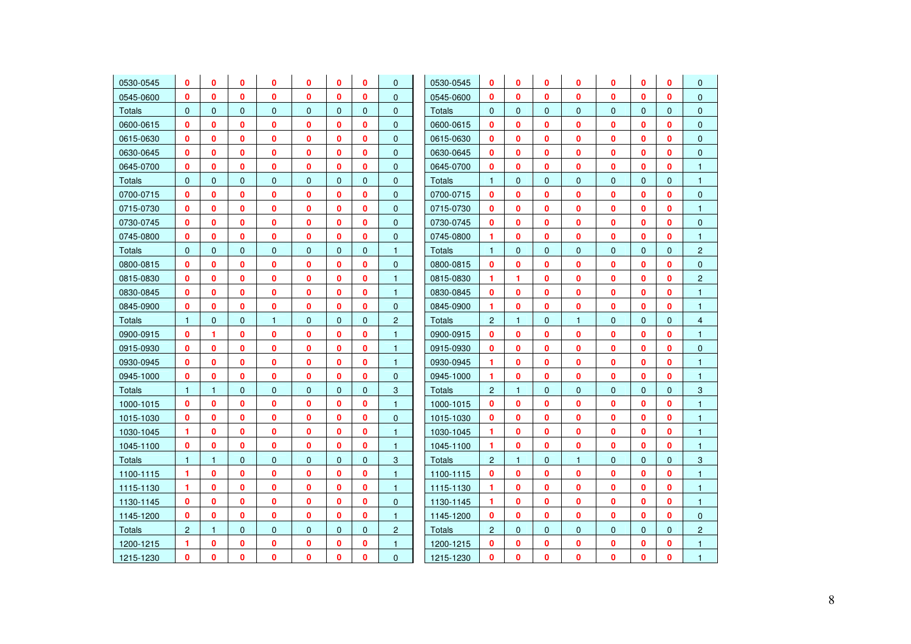| 0530-0545     | 0                    | 0            | 0            | 0            | 0            | 0            | 0            | $\mathbf{0}$   | 0530-0545     | 0              | $\mathbf{0}$ | 0            | 0            | 0            | 0            | 0            | $\mathbf{0}$   |
|---------------|----------------------|--------------|--------------|--------------|--------------|--------------|--------------|----------------|---------------|----------------|--------------|--------------|--------------|--------------|--------------|--------------|----------------|
| 0545-0600     | $\mathbf{0}$         | 0            | $\mathbf{0}$ | 0            | 0            | $\mathbf{0}$ | $\mathbf{0}$ | $\overline{0}$ | 0545-0600     | $\mathbf{0}$   | $\mathbf{0}$ | $\mathbf{0}$ | $\mathbf{0}$ | $\mathbf{0}$ | $\mathbf{0}$ | $\mathbf{0}$ | $\mathbf{0}$   |
| <b>Totals</b> | $\mathbf{0}$         | $\mathbf{0}$ | $\mathbf 0$  | $\mathbf{0}$ | $\mathbf 0$  | $\mathbf{0}$ | $\mathbf{0}$ | $\mathbf{0}$   | <b>Totals</b> | $\mathbf{0}$   | $\mathbf{0}$ | $\mathbf{0}$ | $\mathbf 0$  | $\mathbf{0}$ | $\mathbf{0}$ | $\mathbf{0}$ | $\mathbf{0}$   |
| 0600-0615     | $\mathbf{0}$         | 0            | $\mathbf{0}$ | 0            | $\mathbf{0}$ | $\mathbf{0}$ | $\mathbf{0}$ | $\overline{0}$ | 0600-0615     | $\mathbf{0}$   | $\mathbf{0}$ | $\mathbf{0}$ | $\mathbf{0}$ | $\mathbf{0}$ | 0            | $\mathbf{0}$ | $\mathbf{0}$   |
| 0615-0630     | $\mathbf{0}$         | 0            | 0            | 0            | $\mathbf{0}$ | $\mathbf{0}$ | $\mathbf{0}$ | $\mathbf{0}$   | 0615-0630     | $\mathbf{0}$   | $\mathbf{0}$ | $\mathbf{0}$ | 0            | $\mathbf 0$  | 0            | $\mathbf{0}$ | $\mathbf{0}$   |
| 0630-0645     | $\mathbf{0}$         | 0            | 0            | 0            | 0            | $\mathbf{0}$ | $\mathbf{0}$ | $\mathbf{0}$   | 0630-0645     | $\mathbf{0}$   | $\mathbf{0}$ | 0            | 0            | $\mathbf 0$  | 0            | $\mathbf{0}$ | $\mathbf{0}$   |
| 0645-0700     | $\mathbf{0}$         | 0            | 0            | 0            | 0            | $\bf{0}$     | $\mathbf{0}$ | $\mathbf{0}$   | 0645-0700     | 0              | $\mathbf{0}$ | $\mathbf{0}$ | $\mathbf{0}$ | 0            | 0            | $\mathbf{0}$ | $\mathbf{1}$   |
| <b>Totals</b> | $\mathbf{0}$         | $\mathbf{0}$ | $\mathbf{0}$ | $\mathbf 0$  | $\mathbf 0$  | $\mathbf 0$  | $\mathbf{0}$ | $\mathbf{0}$   | <b>Totals</b> | $\mathbf{1}$   | $\mathbf{0}$ | $\mathbf{0}$ | $\mathbf 0$  | $\mathbf 0$  | $\mathbf{0}$ | $\mathbf{0}$ | 1              |
| 0700-0715     | $\mathbf{0}$         | 0            | 0            | 0            | $\bf{0}$     | $\bf{0}$     | $\mathbf 0$  | $\mathbf{0}$   | 0700-0715     | $\mathbf{0}$   | $\mathbf 0$  | 0            | $\bf{0}$     | 0            | 0            | $\mathbf{0}$ | $\mathbf 0$    |
| 0715-0730     | $\mathbf{0}$         | 0            | 0            | 0            | $\mathbf 0$  | $\mathbf{0}$ | $\mathbf{0}$ | $\mathbf 0$    | 0715-0730     | $\mathbf{0}$   | $\mathbf{0}$ | 0            | 0            | 0            | 0            | $\mathbf{0}$ | $\mathbf{1}$   |
| 0730-0745     | $\mathbf{0}$         | 0            | 0            | 0            | $\mathbf{0}$ | $\mathbf{0}$ | $\mathbf 0$  | $\mathbf 0$    | 0730-0745     | $\mathbf{0}$   | $\mathbf{0}$ | $\mathbf 0$  | $\mathbf{0}$ | $\mathbf{0}$ | 0            | $\mathbf{0}$ | $\pmb{0}$      |
| 0745-0800     | $\mathbf{0}$         | 0            | 0            | 0            | $\mathbf{0}$ | $\mathbf{0}$ | $\mathbf 0$  | $\mathbf 0$    | 0745-0800     | 1.             | $\mathbf{0}$ | $\mathbf 0$  | 0            | $\mathbf{0}$ | 0            | $\mathbf{0}$ | $\mathbf{1}$   |
| <b>Totals</b> | $\Omega$             | $\mathbf{0}$ | $\mathbf{0}$ | $\mathbf{0}$ | $\mathbf{0}$ | $\mathbf{0}$ | $\mathbf{0}$ | $\mathbf{1}$   | <b>Totals</b> | $\mathbf{1}$   | $\mathbf{0}$ | $\mathbf{0}$ | $\mathbf{0}$ | $\mathbf{0}$ | $\mathbf{0}$ | $\Omega$     | $\overline{2}$ |
| 0800-0815     | $\mathbf{0}$         | 0            | 0            | 0            | 0            | $\mathbf{0}$ | $\mathbf{0}$ | $\mathbf 0$    | 0800-0815     | $\mathbf{0}$   | $\mathbf{0}$ | $\mathbf 0$  | $\mathbf{0}$ | $\mathbf 0$  | 0            | $\mathbf{0}$ | $\mathbf{0}$   |
| 0815-0830     | $\bf{0}$             | 0            | 0            | 0            | 0            | $\mathbf{0}$ | $\mathbf 0$  | $\mathbf{1}$   | 0815-0830     | 1.             | 1            | 0            | $\mathbf{0}$ | 0            | 0            | $\mathbf{0}$ | $\overline{2}$ |
| 0830-0845     | 0                    | 0            | 0            | 0            | 0            | $\mathbf{0}$ | $\mathbf 0$  | $\mathbf{1}$   | 0830-0845     | $\mathbf{0}$   | $\mathbf{0}$ | 0            | 0            | 0            | 0            | $\mathbf{0}$ | 1              |
| 0845-0900     | $\mathbf{0}$         | 0            | 0            | 0            | 0            | $\mathbf{0}$ | $\mathbf 0$  | $\mathbf{0}$   | 0845-0900     | 1              | $\mathbf 0$  | 0            | $\mathbf{0}$ | 0            | 0            | $\mathbf{0}$ | $\mathbf{1}$   |
| <b>Totals</b> | $\mathbf{1}$         | $\mathbf 0$  | $\mathbf 0$  | $\mathbf{1}$ | $\mathbf 0$  | $\mathbf 0$  | $\mathbf{0}$ | $\overline{2}$ | <b>Totals</b> | 2              | $\mathbf{1}$ | $\mathbf 0$  | $\mathbf{1}$ | $\mathbf 0$  | $\mathbf{0}$ | $\Omega$     | $\overline{4}$ |
| 0900-0915     | $\mathbf{0}$         | 1            | 0            | 0            | 0            | $\mathbf{0}$ | $\mathbf 0$  | $\mathbf{1}$   | 0900-0915     | $\mathbf{0}$   | $\mathbf 0$  | $\mathbf 0$  | 0            | 0            | 0            | $\mathbf{0}$ | $\mathbf{1}$   |
| 0915-0930     | $\mathbf{0}$         | $\mathbf{0}$ | 0            | 0            | $\mathbf{0}$ | $\mathbf{0}$ | $\mathbf{0}$ | $\mathbf{1}$   | 0915-0930     | $\mathbf{0}$   | $\mathbf{0}$ | $\mathbf{0}$ | $\mathbf{0}$ | $\mathbf{0}$ | 0            | $\mathbf{0}$ | $\mathbf 0$    |
| 0930-0945     | $\mathbf{0}$         | 0            | 0            | 0            | $\mathbf{0}$ | 0            | $\mathbf 0$  | $\mathbf{1}$   | 0930-0945     | 1              | $\mathbf 0$  | 0            | $\mathbf{0}$ | $\mathbf{0}$ | 0            | $\mathbf{0}$ | $\mathbf{1}$   |
| 0945-1000     | $\mathbf{0}$         | $\mathbf{0}$ | $\mathbf{0}$ | $\bf{0}$     | $\mathbf{0}$ | $\mathbf{0}$ | $\mathbf{0}$ | $\mathbf{0}$   | 0945-1000     | 1.             | $\mathbf{0}$ | $\mathbf{0}$ | $\mathbf{0}$ | $\mathbf{0}$ | 0            | $\mathbf{0}$ | $\mathbf{1}$   |
| Totals        | $\mathbf{1}$         | $\mathbf{1}$ | $\mathbf{0}$ | $\mathbf 0$  | $\mathbf 0$  | $\mathbf 0$  | $\mathbf{0}$ | 3              | <b>Totals</b> | $\overline{2}$ | $\mathbf{1}$ | $\mathbf{0}$ | $\mathbf 0$  | $\mathbf 0$  | $\mathbf{0}$ | $\mathbf{0}$ | 3              |
| 1000-1015     | $\mathbf{0}$         | $\mathbf{0}$ | $\mathbf{0}$ | $\bf{0}$     | 0            | $\mathbf{0}$ | $\mathbf{0}$ | $\mathbf{1}$   | 1000-1015     | $\mathbf{0}$   | $\mathbf{0}$ | $\bf{0}$     | $\bf{0}$     | $\mathbf{0}$ | 0            | $\mathbf{0}$ | 1              |
| 1015-1030     | 0                    | 0            | 0            | 0            | 0            | 0            | $\mathbf 0$  | $\mathbf 0$    | 1015-1030     | 0              | $\mathbf 0$  | 0            | 0            | 0            | 0            | $\mathbf{0}$ | 1              |
| 1030-1045     | $\mathbf{1}$         | 0            | 0            | 0            | 0            | $\mathbf{0}$ | $\mathbf{0}$ | $\mathbf{1}$   | 1030-1045     | 1              | $\mathbf{0}$ | $\mathbf{0}$ | $\bf{0}$     | $\mathbf{0}$ | 0            | $\mathbf{0}$ | $\mathbf{1}$   |
| 1045-1100     | 0                    | 0            | 0            | 0            | $\bf{0}$     | 0            | 0            | $\mathbf{1}$   | 1045-1100     | 1              | 0            | 0            | 0            | 0            | 0            | $\mathbf{0}$ | $\mathbf{1}$   |
| <b>Totals</b> | $\mathbf{1}$         | $\mathbf{1}$ | $\mathbf 0$  | $\mathbf 0$  | $\mathbf 0$  | $\mathbf{0}$ | $\mathbf{0}$ | 3              | <b>Totals</b> | $\overline{2}$ | $\mathbf{1}$ | $\mathbf{0}$ | 1            | $\mathbf 0$  | $\mathbf{0}$ | $\mathbf{0}$ | 3              |
| 1100-1115     | $\blacktriangleleft$ | $\mathbf 0$  | 0            | 0            | 0            | $\bf{0}$     | 0            | $\mathbf{1}$   | 1100-1115     | $\mathbf 0$    | $\mathbf 0$  | 0            | 0            | 0            | 0            | $\mathbf 0$  | $\mathbf{1}$   |
| 1115-1130     | $\blacktriangleleft$ | $\mathbf{0}$ | $\mathbf{0}$ | $\mathbf{0}$ | $\mathbf{0}$ | $\mathbf{0}$ | $\mathbf{0}$ | $\mathbf{1}$   | 1115-1130     | 1.             | $\mathbf{0}$ | $\mathbf{0}$ | $\mathbf{0}$ | $\mathbf{0}$ | 0            | $\mathbf{0}$ | $\mathbf{1}$   |
| 1130-1145     | $\mathbf{0}$         | 0            | 0            | 0            | 0            | $\bf{0}$     | 0            | $\mathbf 0$    | 1130-1145     | 1              | $\bf{0}$     | 0            | $\bf{0}$     | 0            | 0            | $\mathbf{0}$ | $\mathbf{1}$   |
| 1145-1200     | $\mathbf{0}$         | 0            | 0            | 0            | 0            | $\mathbf{0}$ | $\mathbf{0}$ | $\mathbf{1}$   | 1145-1200     | $\mathbf{0}$   | $\mathbf{0}$ | $\mathbf 0$  | 0            | $\mathbf 0$  | 0            | $\mathbf{0}$ | $\mathbf{0}$   |
| <b>Totals</b> | $\overline{2}$       | $\mathbf{1}$ | $\mathbf{0}$ | $\mathbf{0}$ | $\mathbf{0}$ | $\mathbf{0}$ | $\mathbf{0}$ | $\overline{2}$ | <b>Totals</b> | 2              | $\mathbf{0}$ | $\mathbf{0}$ | $\mathbf{0}$ | $\mathbf{0}$ | $\Omega$     | $\Omega$     | $\overline{2}$ |
| 1200-1215     | 1                    | $\mathbf{0}$ | 0            | 0            | $\mathbf{0}$ | $\mathbf{0}$ | $\mathbf 0$  | $\mathbf{1}$   | 1200-1215     | $\mathbf{0}$   | $\mathbf 0$  | $\mathbf 0$  | $\mathbf{0}$ | $\mathbf{0}$ | 0            | $\mathbf{0}$ | $\mathbf{1}$   |
| 1215-1230     | 0                    | 0            | 0            | 0            | $\mathbf{0}$ | 0            | $\mathbf{0}$ | $\overline{0}$ | 1215-1230     | $\mathbf{0}$   | $\mathbf{0}$ | 0            | $\mathbf{0}$ | $\mathbf{0}$ | 0            | 0            | $\mathbf{1}$   |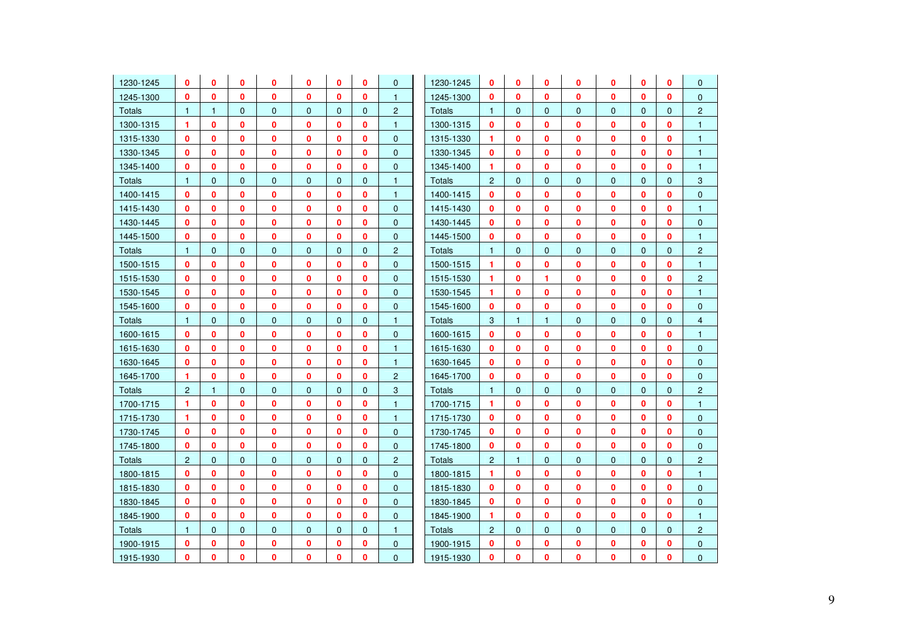| 1230-1245     | 0                    | 0            | 0            | 0            | 0            | 0            | 0            | $\mathbf{0}$   | 1230-1245     | 0              | 0            | 0              | 0            | 0              | 0            | 0            | $\mathbf{0}$   |
|---------------|----------------------|--------------|--------------|--------------|--------------|--------------|--------------|----------------|---------------|----------------|--------------|----------------|--------------|----------------|--------------|--------------|----------------|
| 1245-1300     | $\mathbf{0}$         | $\mathbf{0}$ | $\mathbf{0}$ | $\mathbf{0}$ | $\mathbf{0}$ | $\mathbf{0}$ | 0            | $\mathbf{1}$   | 1245-1300     | $\mathbf{0}$   | $\mathbf{0}$ | $\mathbf{0}$   | $\mathbf{0}$ | $\mathbf{0}$   | $\Omega$     | $\mathbf{0}$ | $\Omega$       |
| Totals        | $\mathbf{1}$         | 1            | $\mathbf 0$  | $\mathbf{0}$ | $\mathbf 0$  | $\mathbf{0}$ | $\mathbf{0}$ | $\overline{2}$ | Totals        | $\mathbf{1}$   | 0            | $\mathbf 0$    | $\mathbf{0}$ | $\mathbf 0$    | $\mathbf 0$  | $\mathbf{0}$ | $\overline{c}$ |
| 1300-1315     | 1                    | $\mathbf{0}$ | $\mathbf{0}$ | 0            | 0            | $\mathbf{0}$ | 0            | $\mathbf{1}$   | 1300-1315     | $\mathbf{0}$   | $\mathbf{0}$ | 0              | $\mathbf{0}$ | $\mathbf{0}$   | $\bf{0}$     | $\mathbf{0}$ | $\mathbf{1}$   |
| 1315-1330     | 0                    | 0            | 0            | 0            | 0            | 0            | 0            | $\overline{0}$ | 1315-1330     | 1              | 0            | 0              | $\mathbf 0$  | $\mathbf 0$    | 0            | 0            | $\overline{1}$ |
| 1330-1345     | $\bf{0}$             | $\bf{0}$     | $\mathbf{0}$ | 0            | $\mathbf{0}$ | $\mathbf{0}$ | $\mathbf{0}$ | $\overline{0}$ | 1330-1345     | $\mathbf{0}$   | $\mathbf{0}$ | $\mathbf{0}$   | $\mathbf{0}$ | $\mathbf{0}$   | $\Omega$     | $\mathbf{0}$ | $\mathbf{1}$   |
| 1345-1400     | 0                    | 0            | 0            | 0            | 0            | 0            | $\mathbf 0$  | $\mathbf 0$    | 1345-1400     | 1              | $\mathbf{0}$ | $\mathbf 0$    | $\bf{0}$     | $\bf{0}$       | $\mathbf 0$  | 0            | $\mathbf{1}$   |
| Totals        | $\mathbf{1}$         | $\mathbf{0}$ | $\mathbf{0}$ | $\mathbf{0}$ | $\mathbf 0$  | $\mathbf{0}$ | $\mathbf{0}$ | $\mathbf{1}$   | Totals        | $\overline{2}$ | $\mathbf{0}$ | $\mathbf{0}$   | $\mathbf{0}$ | $\mathbf{0}$   | $\Omega$     | $\Omega$     | 3              |
| 1400-1415     | 0                    | 0            | 0            | 0            | 0            | 0            | $\mathbf 0$  | $\mathbf{1}$   | 1400-1415     | $\mathbf{0}$   | 0            | 0              | $\bf{0}$     | $\bf{0}$       | $\mathbf 0$  | $\mathbf{0}$ | $\mathbf{0}$   |
| 1415-1430     | $\bf{0}$             | 0            | 0            | 0            | $\mathbf{0}$ | 0            | $\mathbf{0}$ | $\mathbf{0}$   | 1415-1430     | $\mathbf{0}$   | $\mathbf 0$  | 0              | $\mathbf 0$  | $\mathbf 0$    | $\bf{0}$     | 0            | $\mathbf{1}$   |
| 1430-1445     | 0                    | 0            | 0            | 0            | 0            | 0            | $\mathbf 0$  | $\mathbf{0}$   | 1430-1445     | $\mathbf 0$    | $\mathbf 0$  | $\mathbf 0$    | $\bf{0}$     | $\mathbf{0}$   | $\mathbf 0$  | 0            | $\mathbf{0}$   |
| 1445-1500     | $\mathbf 0$          | 0            | 0            | 0            | $\mathbf{0}$ | 0            | $\mathbf 0$  | $\mathbf{0}$   | 1445-1500     | $\mathbf 0$    | $\mathbf{0}$ | $\mathbf 0$    | $\mathbf 0$  | $\mathbf 0$    | $\bf{0}$     | 0            | $\mathbf{1}$   |
| <b>Totals</b> | $\mathbf{1}$         | $\mathbf{0}$ | $\mathbf{0}$ | $\mathbf{0}$ | $\mathbf 0$  | $\mathbf{0}$ | $\mathbf{0}$ | $\overline{2}$ | <b>Totals</b> | $\mathbf{1}$   | $\mathbf{0}$ | $\mathbf{0}$   | $\mathbf{0}$ | $\overline{0}$ | $\mathbf{0}$ | $\mathbf{0}$ | $\overline{c}$ |
| 1500-1515     | $\mathbf{0}$         | 0            | 0            | 0            | $\mathbf{0}$ | 0            | $\mathbf{0}$ | $\overline{0}$ | 1500-1515     | 1              | $\mathbf{0}$ | 0              | $\mathbf{0}$ | $\mathbf{0}$   | $\bf{0}$     | $\mathbf{0}$ | $\mathbf{1}$   |
| 1515-1530     | $\bf{0}$             | 0            | 0            | 0            | 0            | 0            | $\bf{0}$     | $\overline{0}$ | 1515-1530     | 1              | $\mathbf{0}$ | 1              | $\mathbf{0}$ | $\mathbf 0$    | $\bf{0}$     | 0            | $\overline{2}$ |
| 1530-1545     | 0                    | 0            | 0            | 0            | 0            | 0            | $\mathbf 0$  | $\mathbf{0}$   | 1530-1545     | 1              | $\mathbf 0$  | $\mathbf 0$    | $\mathbf 0$  | $\mathbf 0$    | $\bf{0}$     | 0            | $\mathbf{1}$   |
| 1545-1600     | 0                    | 0            | 0            | 0            | 0            | 0            | 0            | $\mathbf{0}$   | 1545-1600     | $\mathbf{0}$   | $\mathbf 0$  | 0              | $\mathbf{0}$ | $\mathbf 0$    | $\bf{0}$     | $\mathbf{0}$ | $\mathbf{0}$   |
| Totals        | $\mathbf{1}$         | $\mathbf{0}$ | $\mathbf 0$  | $\mathbf 0$  | $\mathbf 0$  | $\mathbf 0$  | $\mathbf{0}$ | $\mathbf{1}$   | <b>Totals</b> | 3              | $\mathbf{1}$ | $\overline{1}$ | $\mathbf 0$  | $\mathbf 0$    | $\mathbf{0}$ | $\Omega$     | $\overline{4}$ |
| 1600-1615     | 0                    | 0            | 0            | 0            | 0            | 0            | $\mathbf 0$  | $\mathbf 0$    | 1600-1615     | $\mathbf{0}$   | $\mathbf 0$  | $\mathbf 0$    | 0            | 0              | $\mathbf 0$  | 0            | $\mathbf{1}$   |
| 1615-1630     | 0                    | 0            | 0            | 0            | $\bf{0}$     | 0            | $\mathbf 0$  | $\mathbf{1}$   | 1615-1630     | $\mathbf{0}$   | $\mathbf 0$  | 0              | $\bf{0}$     | $\bf{0}$       | $\mathbf 0$  | 0            | $\mathbf 0$    |
| 1630-1645     | 0                    | 0            | 0            | 0            | 0            | 0            | 0            | $\mathbf{1}$   | 1630-1645     | $\mathbf 0$    | $\mathbf 0$  | 0              | $\mathbf 0$  | $\mathbf 0$    | $\bf{0}$     | 0            | $\mathbf{0}$   |
| 1645-1700     | 1                    | $\bf{0}$     | $\mathbf{0}$ | $\mathbf{0}$ | $\mathbf{0}$ | $\mathbf{0}$ | $\mathbf{0}$ | $\overline{2}$ | 1645-1700     | $\mathbf{0}$   | $\mathbf{0}$ | 0              | $\mathbf{0}$ | $\mathbf{0}$   | $\bf{0}$     | $\mathbf{0}$ | $\Omega$       |
| Totals        | $\overline{2}$       | $\mathbf{1}$ | $\mathbf 0$  | $\mathbf 0$  | $\mathbf 0$  | $\mathbf{0}$ | $\Omega$     | 3              | <b>Totals</b> | $\mathbf{1}$   | $\mathbf{0}$ | $\mathbf{0}$   | $\mathbf{0}$ | $\mathbf 0$    | $\mathbf 0$  | $\Omega$     | $\overline{2}$ |
| 1700-1715     | $\blacktriangleleft$ | $\mathbf{0}$ | 0            | 0            | $\mathbf{0}$ | 0            | $\mathbf{0}$ | $\mathbf{1}$   | 1700-1715     | 1              | $\mathbf{0}$ | 0              | $\mathbf{0}$ | $\mathbf 0$    | $\bf{0}$     | 0            | $\mathbf{1}$   |
| 1715-1730     | $\mathbf{1}$         | 0            | 0            | 0            | 0            | 0            | $\mathbf 0$  | $\mathbf{1}$   | 1715-1730     | $\mathbf{0}$   | $\mathbf 0$  | 0              | $\mathbf 0$  | $\mathbf 0$    | 0            | 0            | $\mathbf{0}$   |
| 1730-1745     | $\bf{0}$             | $\mathbf{0}$ | 0            | 0            | $\mathbf{0}$ | 0            | $\mathbf{0}$ | $\mathbf{0}$   | 1730-1745     | $\mathbf{0}$   | $\mathbf 0$  | 0              | $\mathbf 0$  | $\mathbf 0$    | $\bf{0}$     | 0            | $\Omega$       |
| 1745-1800     | $\mathbf 0$          | 0            | 0            | 0            | $\bf{0}$     | $\mathbf{0}$ | $\mathbf{0}$ | $\mathbf 0$    | 1745-1800     | $\mathbf{0}$   | 0            | $\mathbf 0$    | $\bf{0}$     | $\mathbf{0}$   | $\mathbf{0}$ | $\mathbf{0}$ | $\mathbf 0$    |
| Totals        | $\overline{c}$       | $\mathbf 0$  | $\mathbf 0$  | $\mathbf{0}$ | $\mathbf 0$  | $\mathbf{0}$ | $\mathbf{0}$ | $\overline{a}$ | <b>Totals</b> | $\overline{2}$ | $\mathbf{1}$ | $\mathbf 0$    | $\mathbf{0}$ | $\mathbf{0}$   | $\mathbf{0}$ | $\mathbf{0}$ | $\overline{c}$ |
| 1800-1815     | 0                    | 0            | 0            | 0            | 0            | $\mathbf{0}$ | 0            | $\overline{0}$ | 1800-1815     | 1              | 0            | 0              | $\bf{0}$     | $\mathbf{0}$   | $\mathbf{0}$ | 0            | $\overline{1}$ |
| 1815-1830     | 0                    | 0            | 0            | 0            | $\mathbf{0}$ | 0            | $\mathbf{0}$ | $\overline{0}$ | 1815-1830     | $\mathbf{0}$   | $\mathbf 0$  | 0              | $\mathbf{0}$ | $\mathbf{0}$   | $\bf{0}$     | 0            | $\mathbf{0}$   |
| 1830-1845     | $\mathbf{0}$         | 0            | 0            | 0            | $\mathbf{0}$ | 0            | $\mathbf{0}$ | $\mathbf{0}$   | 1830-1845     | $\mathbf{0}$   | $\mathbf{0}$ | $\mathbf 0$    | $\bf{0}$     | $\mathbf{0}$   | $\mathbf{0}$ | $\mathbf{0}$ | $\mathbf{0}$   |
| 1845-1900     | 0                    | 0            | 0            | 0            | 0            | 0            | $\mathbf 0$  | $\mathbf{0}$   | 1845-1900     | 1              | $\mathbf 0$  | $\mathbf 0$    | $\mathbf{0}$ | $\mathbf 0$    | $\bf{0}$     | 0            | $\mathbf{1}$   |
| <b>Totals</b> | $\mathbf{1}$         | $\Omega$     | $\mathbf{0}$ | $\mathbf{0}$ | $\mathbf{0}$ | $\mathbf{0}$ | $\mathbf{0}$ | $\mathbf{1}$   | Totals        | $\overline{2}$ | $\mathbf{0}$ | $\mathbf{0}$   | $\mathbf{0}$ | $\overline{0}$ | $\Omega$     | $\Omega$     | $\overline{2}$ |
| 1900-1915     | 0                    | 0            | 0            | 0            | 0            | 0            | 0            | $\mathbf{0}$   | 1900-1915     | 0              | 0            | 0              | 0            | 0              | 0            | 0            | $\mathbf{0}$   |
| 1915-1930     | $\mathbf{0}$         | 0            | 0            | 0            | 0            | $\mathbf{0}$ | 0            | $\overline{0}$ | 1915-1930     | $\mathbf{0}$   | 0            | 0              | $\mathbf{0}$ | $\mathbf{0}$   | $\mathbf 0$  | $\mathbf{0}$ | $\mathbf{0}$   |
|               |                      |              |              |              |              |              |              |                |               |                |              |                |              |                |              |              |                |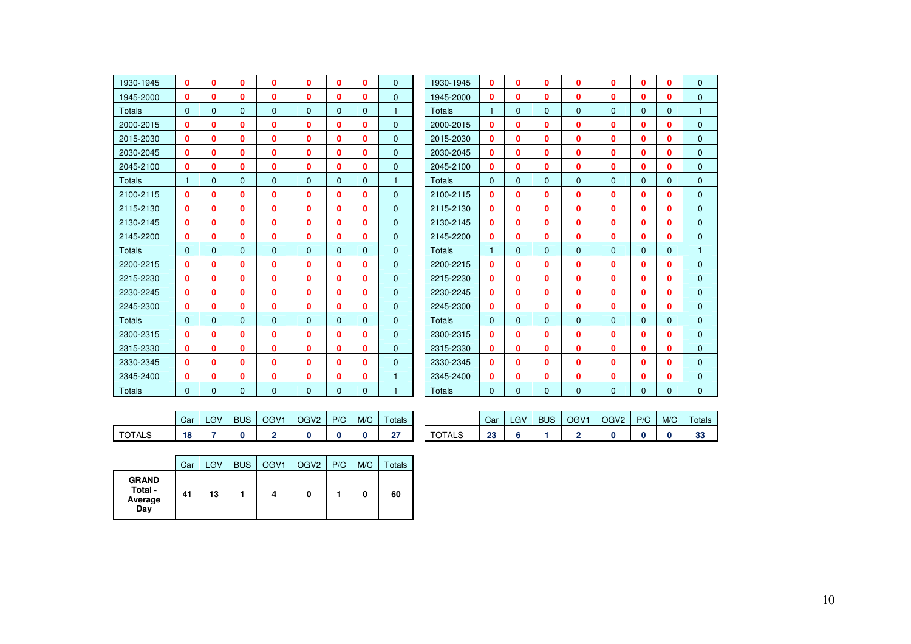| 1930-1945     | $\bf{0}$     | 0        | 0            | 0        | $\bf{0}$     | $\bf{0}$ | $\mathbf{0}$ | $\mathbf{0}$ | 1930-1945     | $\mathbf{0}$ | $\mathbf{0}$ | 0        | $\mathbf{0}$ | 0            | 0            | $\mathbf{0}$ | $\mathbf{0}$ |
|---------------|--------------|----------|--------------|----------|--------------|----------|--------------|--------------|---------------|--------------|--------------|----------|--------------|--------------|--------------|--------------|--------------|
| 1945-2000     | 0            | 0        | 0            | 0        | 0            | 0        | 0            | $\mathbf{0}$ | 1945-2000     | 0            | 0            | 0        | $\Omega$     | $\Omega$     | 0            | 0            | $\mathbf{0}$ |
| Totals        | $\mathbf{0}$ | $\Omega$ | 0            | $\Omega$ | $\mathbf{0}$ | 0        | $\mathbf{0}$ | 1            | <b>Totals</b> | 1            | $\Omega$     | 0        | $\Omega$     | $\mathbf 0$  | 0            | $\mathbf{0}$ |              |
| 2000-2015     | 0            | Ω        | 0            | 0        | 0            | 0        | 0            | $\mathbf{0}$ | 2000-2015     | 0            | 0            | 0        | $\mathbf{0}$ | 0            | 0            | 0            | $\mathbf{0}$ |
| 2015-2030     | $\mathbf{0}$ | 0        | 0            | 0        | 0            | 0        | 0            | $\mathbf{0}$ | 2015-2030     | 0            | 0            | 0        | $\mathbf{0}$ | $\Omega$     | 0            | 0            | $\mathbf{0}$ |
| 2030-2045     | $\mathbf{0}$ | 0        | 0            | 0        | 0            | 0        | 0            | $\mathbf{0}$ | 2030-2045     | 0            | 0            | 0        | $\mathbf{0}$ | 0            | 0            | $\mathbf{0}$ | $\mathbf{0}$ |
| 2045-2100     | 0            | 0        | 0            | 0        | 0            | 0        | $\mathbf{0}$ | $\Omega$     | 2045-2100     | $\mathbf{0}$ | 0            | 0        | $\Omega$     | 0            | 0            | 0            | $\mathbf{0}$ |
| Totals        | $\mathbf{1}$ | $\Omega$ | $\Omega$     | $\Omega$ | $\Omega$     | $\Omega$ | $\mathbf{0}$ | 1            | Totals        | $\mathbf{0}$ | $\Omega$     | $\Omega$ | $\Omega$     | $\Omega$     | $\Omega$     | $\Omega$     | $\mathbf{0}$ |
| 2100-2115     | 0            | 0        | 0            | 0        | 0            | 0        | 0            | $\mathbf{0}$ | 2100-2115     | 0            | $\bf{0}$     | 0        | $\mathbf{0}$ | 0            | 0            | $\mathbf{0}$ | $\mathbf{0}$ |
| 2115-2130     | 0            | Ω        | 0            | 0        | 0            | 0        | 0            | $\Omega$     | 2115-2130     | 0            | 0            | 0        | $\mathbf{0}$ | 0            | 0            | 0            | $\mathbf{0}$ |
| 2130-2145     | 0            | 0        | 0            | 0        | 0            | 0        | 0            | $\mathbf{0}$ | 2130-2145     | 0            | 0            | 0        | $\mathbf{0}$ | 0            | 0            | $\mathbf{0}$ | $\mathbf{0}$ |
| 2145-2200     | $\mathbf{0}$ | 0        | 0            | 0        | 0            | 0        | 0            | $\mathbf{0}$ | 2145-2200     | 0            | 0            | 0        | $\mathbf{0}$ | $\mathbf{0}$ | 0            | 0            | $\mathbf{0}$ |
| Totals        | $\Omega$     | $\Omega$ | $\Omega$     | $\Omega$ | $\Omega$     | $\Omega$ | $\mathbf{0}$ | $\mathbf{0}$ | Totals        | 1            | $\Omega$     | 0        | $\Omega$     | $\Omega$     | $\Omega$     | $\Omega$     | 1            |
| 2200-2215     | 0            | 0        | 0            | 0        | 0            | 0        | 0            | $\mathbf{0}$ | 2200-2215     | 0            | $\mathbf{0}$ | 0        | $\mathbf{0}$ | 0            | 0            | $\mathbf{0}$ | $\mathbf{0}$ |
| 2215-2230     | 0            | 0        | 0            | 0        | 0            | 0        | 0            | $\mathbf{0}$ | 2215-2230     | 0            | $\bf{0}$     | 0        | $\mathbf{0}$ | 0            | 0            | 0            | $\mathbf{0}$ |
| 2230-2245     | 0            | 0        | 0            | 0        | 0            | 0        | 0            | $\mathbf{0}$ | 2230-2245     | 0            | 0            | 0        | $\mathbf{0}$ | 0            | 0            | $\mathbf{0}$ | $\mathbf{0}$ |
| 2245-2300     | 0            | 0        | 0            | 0        | 0            | 0        | 0            | $\Omega$     | 2245-2300     | 0            | 0            | 0        | $\Omega$     | 0            | 0            | 0            | $\mathbf{0}$ |
| <b>Totals</b> | $\Omega$     | $\Omega$ | $\mathbf{0}$ | $\Omega$ | $\Omega$     | $\Omega$ | $\mathbf{0}$ | $\mathbf{0}$ | Totals        | $\mathbf{0}$ | $\Omega$     | 0        | $\Omega$     | $\Omega$     | $\Omega$     | $\Omega$     | $\mathbf{0}$ |
| 2300-2315     | 0            | 0        | 0            | 0        | 0            | 0        | 0            | $\mathbf{0}$ | 2300-2315     | 0            | 0            | 0        | $\mathbf{0}$ | 0            | $\mathbf{0}$ | 0            | $\mathbf{0}$ |
| 2315-2330     | 0            | 0        | 0            | 0        | 0            | 0        | 0            | $\mathbf{0}$ | 2315-2330     | 0            | $\bf{0}$     | 0        | $\mathbf{0}$ | 0            | 0            | $\mathbf{0}$ | $\mathbf{0}$ |
| 2330-2345     | 0            | 0        | 0            | 0        | 0            | 0        | 0            | $\mathbf{0}$ | 2330-2345     | 0            | 0            | 0        | $\mathbf{0}$ | 0            | 0            | $\mathbf{0}$ | $\mathbf{0}$ |
| 2345-2400     | 0            | Ω        | 0            | 0        | 0            | 0        | 0            |              | 2345-2400     | 0            | 0            | 0        | 0            | 0            | 0            | 0            | $\mathbf{0}$ |
| Totals        | $\Omega$     | $\Omega$ | $\Omega$     | $\Omega$ | $\Omega$     | $\Omega$ | $\Omega$     | 1            | <b>Totals</b> | $\Omega$     | $\Omega$     | $\Omega$ | $\Omega$     | $\Omega$     | $\Omega$     | $\Omega$     | $\mathbf{0}$ |

|               | Car | LGV | <b>BUS</b> | OGV <sub>1</sub> | OGV <sub>2</sub> | P/C | M/C | Totals       |        | Car     | <b>LGV</b> | <b>BUS</b> | OGV <sub>1</sub> | OGV <sub>2</sub> | P/C | M/C | Total |
|---------------|-----|-----|------------|------------------|------------------|-----|-----|--------------|--------|---------|------------|------------|------------------|------------------|-----|-----|-------|
| <b>TOTALS</b> | 18  |     |            |                  |                  |     |     | $\sim$<br>41 | TOTALS | ഹ<br>23 |            |            |                  |                  |     |     | 33    |

| Car | LGV | <b>BUS</b> | OGV <sub>1</sub> | OGV2 | P/C | M/C | Totals    |               | Car       | LGV | <b>BUS</b> | OGV <sub>1</sub> | OGV <sub>2</sub> | P/C | M/C | <b>Totals</b> |
|-----|-----|------------|------------------|------|-----|-----|-----------|---------------|-----------|-----|------------|------------------|------------------|-----|-----|---------------|
| 18  |     |            |                  |      |     |     | 65<br>- 1 | <b>TOTALS</b> | פפ<br>-49 |     |            |                  |                  |     |     | n.<br>ູ       |

|                                           | Car | LGV | <b>BUS</b> | OGV1 | OGV <sub>2</sub> | P/C | M/C | <b>Totals</b> |
|-------------------------------------------|-----|-----|------------|------|------------------|-----|-----|---------------|
| <b>GRAND</b><br>Total -<br>Average<br>Day | 41  | 13  |            | 4    | 0                |     | 0   | 60            |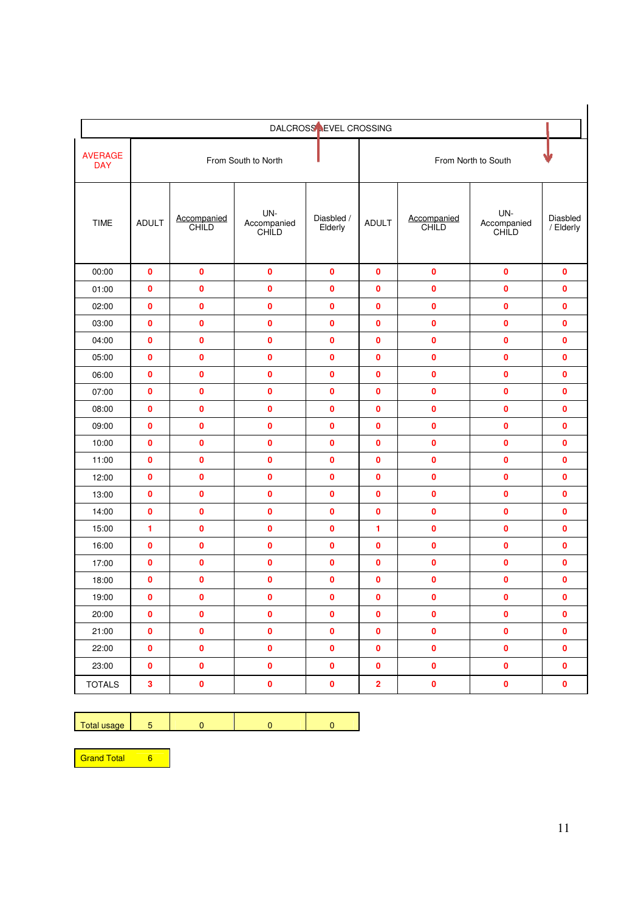|                              |              |                      |                             | DALCROSS LEVEL CROSSING |                         |                      |                             |                       |
|------------------------------|--------------|----------------------|-----------------------------|-------------------------|-------------------------|----------------------|-----------------------------|-----------------------|
| <b>AVERAGE</b><br><b>DAY</b> |              |                      | From South to North         |                         |                         |                      | From North to South         |                       |
| <b>TIME</b>                  | <b>ADULT</b> | Accompanied<br>CHILD | UN-<br>Accompanied<br>CHILD | Diasbled /<br>Elderly   | <b>ADULT</b>            | Accompanied<br>CHILD | UN-<br>Accompanied<br>CHILD | Diasbled<br>/ Elderly |
| 00:00                        | 0            | $\mathbf 0$          | $\mathbf 0$                 | $\mathbf 0$             | $\mathbf{0}$            | $\mathbf 0$          | $\mathbf 0$                 | $\mathbf{0}$          |
| 01:00                        | 0            | 0                    | 0                           | $\mathbf 0$             | 0                       | $\mathbf 0$          | $\bf{0}$                    | $\mathbf 0$           |
| 02:00                        | 0            | 0                    | $\bf{0}$                    | $\bf{0}$                | $\bf{0}$                | $\mathbf 0$          | $\bf{0}$                    | $\mathbf{0}$          |
| 03:00                        | 0            | 0                    | $\pmb{0}$                   | $\mathbf 0$             | 0                       | $\mathbf 0$          | 0                           | $\mathbf 0$           |
| 04:00                        | 0            | 0                    | $\mathbf 0$                 | $\mathbf{0}$            | $\mathbf{0}$            | $\mathbf 0$          | $\mathbf{0}$                | $\mathbf{0}$          |
| 05:00                        | 0            | 0                    | $\mathbf 0$                 | 0                       | 0                       | $\mathbf 0$          | $\bf{0}$                    | 0                     |
| 06:00                        | 0            | 0                    | $\pmb{0}$                   | $\mathbf 0$             | $\mathbf{0}$            | $\pmb{0}$            | $\bf{0}$                    | $\mathbf{0}$          |
| 07:00                        | 0            | 0                    | $\mathbf 0$                 | 0                       | 0                       | $\mathbf 0$          | $\bf{0}$                    | 0                     |
| 08:00                        | 0            | 0                    | $\pmb{0}$                   | $\mathbf 0$             | 0                       | $\mathbf 0$          | $\bf{0}$                    | $\mathbf{0}$          |
| 09:00                        | $\mathbf{0}$ | 0                    | $\mathbf 0$                 | $\mathbf{0}$            | $\mathbf 0$             | $\mathbf 0$          | $\bf{0}$                    | $\mathbf{0}$          |
| 10:00                        | 0            | 0                    | 0                           | 0                       | 0                       | 0                    | $\bf{0}$                    | $\mathbf{0}$          |
| 11:00                        | $\mathbf 0$  | 0                    | 0                           | 0                       | $\mathbf 0$             | 0                    | $\bf{0}$                    | $\mathbf{0}$          |
| 12:00                        | 0            | 0                    | 0                           | $\mathbf 0$             | $\bf{0}$                | 0                    | $\bf{0}$                    | $\mathbf 0$           |
| 13:00                        | 0            | 0                    | 0                           | 0                       | $\mathbf 0$             | 0                    | 0                           | $\mathbf{0}$          |
| 14:00                        | 0            | 0                    | $\mathbf 0$                 | $\mathbf 0$             | 0                       | $\mathbf 0$          | $\mathbf 0$                 | 0                     |
| 15:00                        | 1            | $\mathbf{0}$         | 0                           | $\mathbf{0}$            | 1                       | $\mathbf{0}$         | $\mathbf 0$                 | $\mathbf{0}$          |
| 16:00                        | 0            | 0                    | $\mathbf 0$                 | $\mathbf 0$             | 0                       | $\mathbf 0$          | $\mathbf 0$                 | $\mathbf 0$           |
| 17:00                        | 0            | 0                    | $\pmb{0}$                   | $\mathbf 0$             | 0                       | $\pmb{0}$            | $\bf{0}$                    | 0                     |
| 18:00                        | 0            | 0                    | $\mathbf 0$                 | $\mathbf 0$             | 0                       | $\mathbf 0$          | $\mathbf 0$                 | 0                     |
| 19:00                        | 0            | $\bf{0}$             | $\pmb{0}$                   | $\mathbf 0$             | 0                       | $\pmb{0}$            | 0                           | 0                     |
| 20:00                        | $\pmb{0}$    | $\pmb{0}$            | $\pmb{0}$                   | $\pmb{0}$               | $\pmb{0}$               | $\pmb{0}$            | $\pmb{0}$                   | $\pmb{0}$             |
| 21:00                        | $\pmb{0}$    | $\pmb{0}$            | $\pmb{0}$                   | $\pmb{0}$               | $\pmb{0}$               | $\pmb{0}$            | $\pmb{0}$                   | $\pmb{0}$             |
| 22:00                        | 0            | 0                    | $\pmb{0}$                   | $\pmb{0}$               | $\pmb{0}$               | $\pmb{0}$            | $\pmb{0}$                   | $\pmb{0}$             |
| 23:00                        | $\pmb{0}$    | $\pmb{0}$            | $\pmb{0}$                   | $\pmb{0}$               | $\pmb{0}$               | $\pmb{0}$            | $\pmb{0}$                   | $\mathbf 0$           |
| <b>TOTALS</b>                | 3            | 0                    | $\pmb{0}$                   | $\pmb{0}$               | $\overline{\mathbf{2}}$ | $\pmb{0}$            | $\pmb{0}$                   | $\pmb{0}$             |

|  | 200<br>100 |  |  |  |  |
|--|------------|--|--|--|--|
|--|------------|--|--|--|--|

Grand Total 6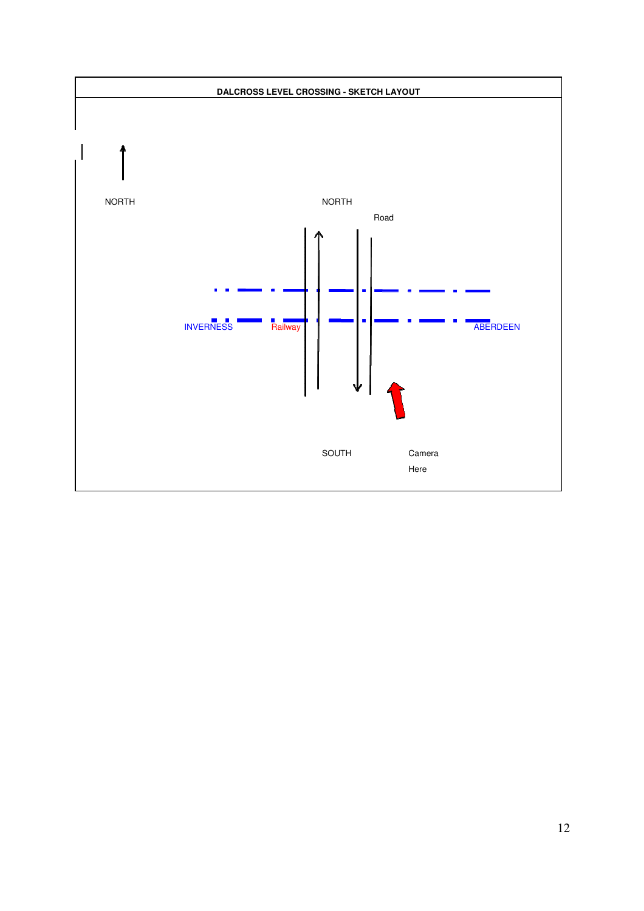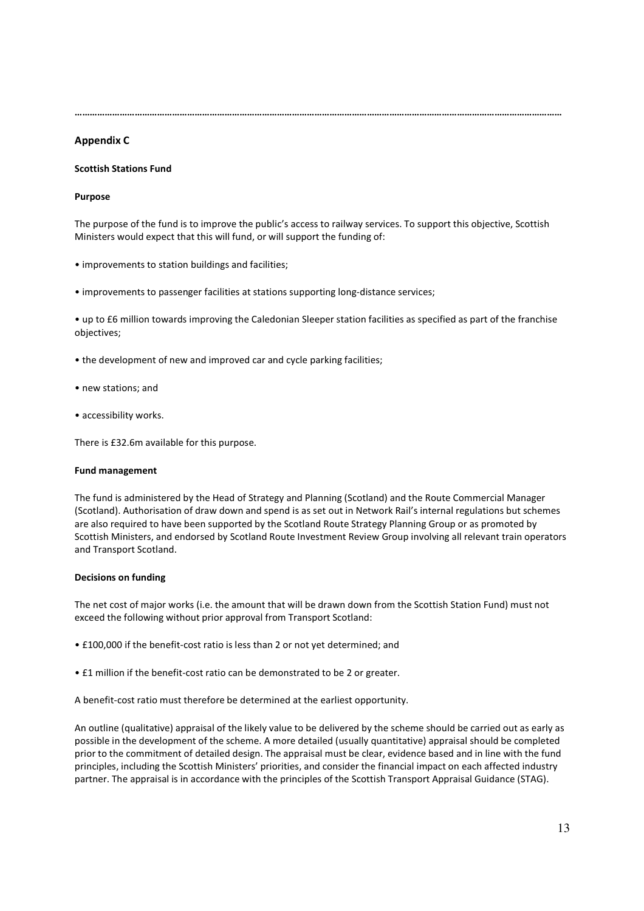……………………………………………………………………………………………………………………………………………………………………………

### Appendix C

#### Scottish Stations Fund

#### Purpose

The purpose of the fund is to improve the public's access to railway services. To support this objective, Scottish Ministers would expect that this will fund, or will support the funding of:

- improvements to station buildings and facilities;
- improvements to passenger facilities at stations supporting long-distance services;

• up to £6 million towards improving the Caledonian Sleeper station facilities as specified as part of the franchise objectives;

- the development of new and improved car and cycle parking facilities;
- new stations; and
- accessibility works.

There is £32.6m available for this purpose.

#### Fund management

The fund is administered by the Head of Strategy and Planning (Scotland) and the Route Commercial Manager (Scotland). Authorisation of draw down and spend is as set out in Network Rail's internal regulations but schemes are also required to have been supported by the Scotland Route Strategy Planning Group or as promoted by Scottish Ministers, and endorsed by Scotland Route Investment Review Group involving all relevant train operators and Transport Scotland.

#### Decisions on funding

The net cost of major works (i.e. the amount that will be drawn down from the Scottish Station Fund) must not exceed the following without prior approval from Transport Scotland:

- £100,000 if the benefit-cost ratio is less than 2 or not yet determined; and
- £1 million if the benefit-cost ratio can be demonstrated to be 2 or greater.

A benefit-cost ratio must therefore be determined at the earliest opportunity.

An outline (qualitative) appraisal of the likely value to be delivered by the scheme should be carried out as early as possible in the development of the scheme. A more detailed (usually quantitative) appraisal should be completed prior to the commitment of detailed design. The appraisal must be clear, evidence based and in line with the fund principles, including the Scottish Ministers' priorities, and consider the financial impact on each affected industry partner. The appraisal is in accordance with the principles of the Scottish Transport Appraisal Guidance (STAG).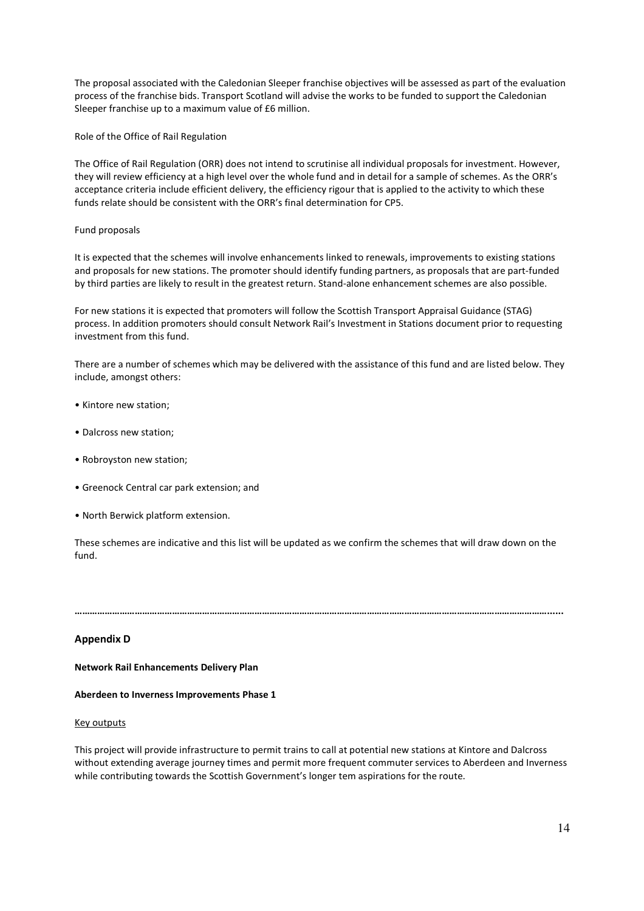The proposal associated with the Caledonian Sleeper franchise objectives will be assessed as part of the evaluation process of the franchise bids. Transport Scotland will advise the works to be funded to support the Caledonian Sleeper franchise up to a maximum value of £6 million.

Role of the Office of Rail Regulation

The Office of Rail Regulation (ORR) does not intend to scrutinise all individual proposals for investment. However, they will review efficiency at a high level over the whole fund and in detail for a sample of schemes. As the ORR's acceptance criteria include efficient delivery, the efficiency rigour that is applied to the activity to which these funds relate should be consistent with the ORR's final determination for CP5.

#### Fund proposals

It is expected that the schemes will involve enhancements linked to renewals, improvements to existing stations and proposals for new stations. The promoter should identify funding partners, as proposals that are part-funded by third parties are likely to result in the greatest return. Stand-alone enhancement schemes are also possible.

For new stations it is expected that promoters will follow the Scottish Transport Appraisal Guidance (STAG) process. In addition promoters should consult Network Rail's Investment in Stations document prior to requesting investment from this fund.

There are a number of schemes which may be delivered with the assistance of this fund and are listed below. They include, amongst others:

- Kintore new station;
- Dalcross new station;
- Robroyston new station;
- Greenock Central car park extension; and
- North Berwick platform extension.

These schemes are indicative and this list will be updated as we confirm the schemes that will draw down on the fund.

………………………………………………………………………………………………………………………………………………………………………......

#### Appendix D

Network Rail Enhancements Delivery Plan

#### Aberdeen to Inverness Improvements Phase 1

#### Key outputs

This project will provide infrastructure to permit trains to call at potential new stations at Kintore and Dalcross without extending average journey times and permit more frequent commuter services to Aberdeen and Inverness while contributing towards the Scottish Government's longer tem aspirations for the route.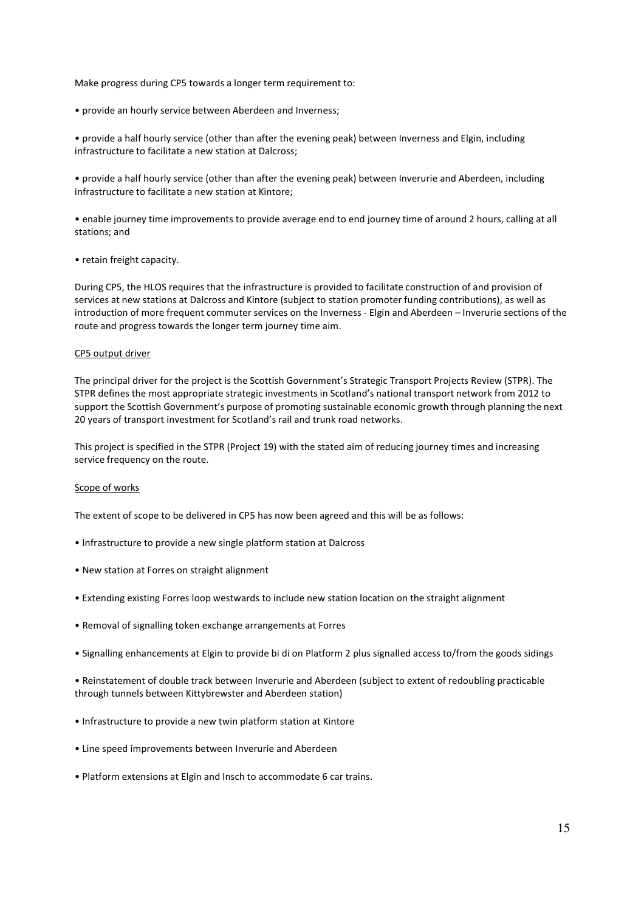Make progress during CP5 towards a longer term requirement to:

• provide an hourly service between Aberdeen and Inverness;

• provide a half hourly service (other than after the evening peak) between Inverness and Elgin, including infrastructure to facilitate a new station at Dalcross;

• provide a half hourly service (other than after the evening peak) between Inverurie and Aberdeen, including infrastructure to facilitate a new station at Kintore;

• enable journey time improvements to provide average end to end journey time of around 2 hours, calling at all stations; and

• retain freight capacity.

During CP5, the HLOS requires that the infrastructure is provided to facilitate construction of and provision of services at new stations at Dalcross and Kintore (subject to station promoter funding contributions), as well as introduction of more frequent commuter services on the Inverness - Elgin and Aberdeen – Inverurie sections of the route and progress towards the longer term journey time aim.

#### CP5 output driver

The principal driver for the project is the Scottish Government's Strategic Transport Projects Review (STPR). The STPR defines the most appropriate strategic investments in Scotland's national transport network from 2012 to support the Scottish Government's purpose of promoting sustainable economic growth through planning the next 20 years of transport investment for Scotland's rail and trunk road networks.

This project is specified in the STPR (Project 19) with the stated aim of reducing journey times and increasing service frequency on the route.

#### Scope of works

The extent of scope to be delivered in CP5 has now been agreed and this will be as follows:

- Infrastructure to provide a new single platform station at Dalcross
- New station at Forres on straight alignment
- Extending existing Forres loop westwards to include new station location on the straight alignment
- Removal of signalling token exchange arrangements at Forres
- Signalling enhancements at Elgin to provide bi di on Platform 2 plus signalled access to/from the goods sidings

• Reinstatement of double track between Inverurie and Aberdeen (subject to extent of redoubling practicable through tunnels between Kittybrewster and Aberdeen station)

- Infrastructure to provide a new twin platform station at Kintore
- Line speed improvements between Inverurie and Aberdeen
- Platform extensions at Elgin and Insch to accommodate 6 car trains.